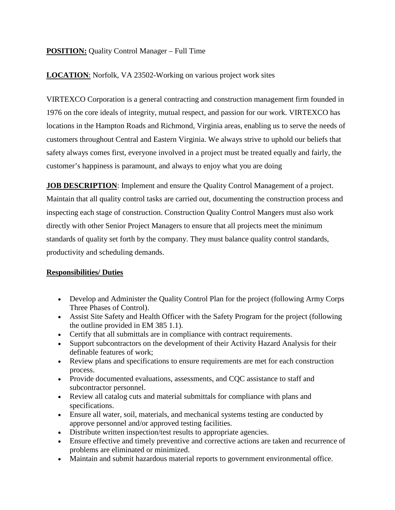## **POSITION:** Quality Control Manager – Full Time

### **LOCATION**: Norfolk, VA 23502-Working on various project work sites

VIRTEXCO Corporation is a general contracting and construction management firm founded in 1976 on the core ideals of integrity, mutual respect, and passion for our work. VIRTEXCO has locations in the Hampton Roads and Richmond, Virginia areas, enabling us to serve the needs of customers throughout Central and Eastern Virginia. We always strive to uphold our beliefs that safety always comes first, everyone involved in a project must be treated equally and fairly, the customer's happiness is paramount, and always to enjoy what you are doing

**JOB DESCRIPTION:** Implement and ensure the Quality Control Management of a project. Maintain that all quality control tasks are carried out, documenting the construction process and inspecting each stage of construction. Construction Quality Control Mangers must also work directly with other Senior Project Managers to ensure that all projects meet the minimum standards of quality set forth by the company. They must balance quality control standards, productivity and scheduling demands.

#### **Responsibilities/ Duties**

- Develop and Administer the Quality Control Plan for the project (following Army Corps Three Phases of Control).
- Assist Site Safety and Health Officer with the Safety Program for the project (following the outline provided in EM 385 1.1).
- Certify that all submittals are in compliance with contract requirements.
- Support subcontractors on the development of their Activity Hazard Analysis for their definable features of work;
- Review plans and specifications to ensure requirements are met for each construction process.
- Provide documented evaluations, assessments, and CQC assistance to staff and subcontractor personnel.
- Review all catalog cuts and material submittals for compliance with plans and specifications.
- Ensure all water, soil, materials, and mechanical systems testing are conducted by approve personnel and/or approved testing facilities.
- Distribute written inspection/test results to appropriate agencies.
- Ensure effective and timely preventive and corrective actions are taken and recurrence of problems are eliminated or minimized.
- Maintain and submit hazardous material reports to government environmental office.